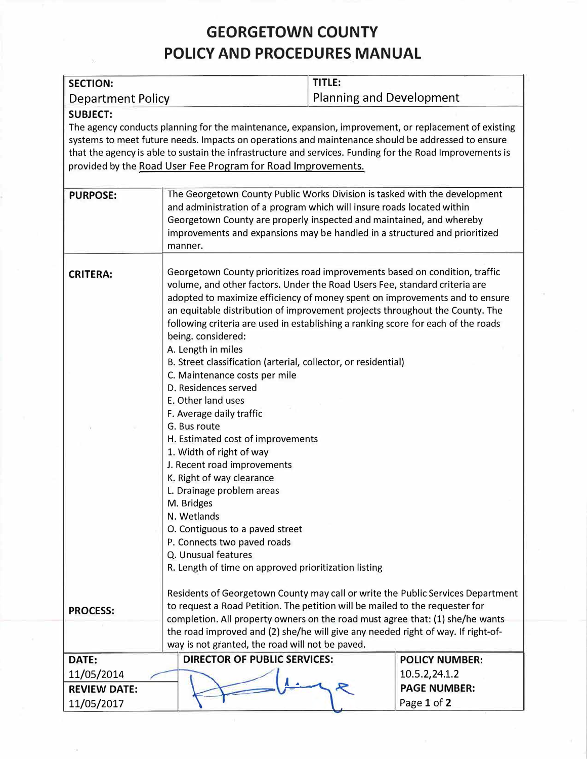## **GEORGETOWN COUNTY POLICY AND PROCEDURES MANUAL**

| <b>SECTION:</b>                                                                                                                                                                                                                                                                                                                                                                                          |                                                                                                                                                                                                                                                                                                                                                                                                                                                                                                                                                                                                                                                                                                                                                                                                                                                                                                                                                                                                | <b>TITLE:</b>            |                       |  |
|----------------------------------------------------------------------------------------------------------------------------------------------------------------------------------------------------------------------------------------------------------------------------------------------------------------------------------------------------------------------------------------------------------|------------------------------------------------------------------------------------------------------------------------------------------------------------------------------------------------------------------------------------------------------------------------------------------------------------------------------------------------------------------------------------------------------------------------------------------------------------------------------------------------------------------------------------------------------------------------------------------------------------------------------------------------------------------------------------------------------------------------------------------------------------------------------------------------------------------------------------------------------------------------------------------------------------------------------------------------------------------------------------------------|--------------------------|-----------------------|--|
| Department Policy                                                                                                                                                                                                                                                                                                                                                                                        |                                                                                                                                                                                                                                                                                                                                                                                                                                                                                                                                                                                                                                                                                                                                                                                                                                                                                                                                                                                                | Planning and Development |                       |  |
| <b>SUBJECT:</b><br>The agency conducts planning for the maintenance, expansion, improvement, or replacement of existing<br>systems to meet future needs. Impacts on operations and maintenance should be addressed to ensure<br>that the agency is able to sustain the infrastructure and services. Funding for the Road Improvements is<br>provided by the Road User Fee Program for Road Improvements. |                                                                                                                                                                                                                                                                                                                                                                                                                                                                                                                                                                                                                                                                                                                                                                                                                                                                                                                                                                                                |                          |                       |  |
| <b>PURPOSE:</b>                                                                                                                                                                                                                                                                                                                                                                                          | The Georgetown County Public Works Division is tasked with the development<br>and administration of a program which will insure roads located within<br>Georgetown County are properly inspected and maintained, and whereby<br>improvements and expansions may be handled in a structured and prioritized<br>manner.                                                                                                                                                                                                                                                                                                                                                                                                                                                                                                                                                                                                                                                                          |                          |                       |  |
| <b>CRITERA:</b>                                                                                                                                                                                                                                                                                                                                                                                          | Georgetown County prioritizes road improvements based on condition, traffic<br>volume, and other factors. Under the Road Users Fee, standard criteria are<br>adopted to maximize efficiency of money spent on improvements and to ensure<br>an equitable distribution of improvement projects throughout the County. The<br>following criteria are used in establishing a ranking score for each of the roads<br>being. considered:<br>A. Length in miles<br>B. Street classification (arterial, collector, or residential)<br>C. Maintenance costs per mile<br>D. Residences served<br>E. Other land uses<br>F. Average daily traffic<br>G. Bus route<br>H. Estimated cost of improvements<br>1. Width of right of way<br>J. Recent road improvements<br>K. Right of way clearance<br>L. Drainage problem areas<br>M. Bridges<br>N. Wetlands<br>O. Contiguous to a paved street<br>P. Connects two paved roads<br>Q. Unusual features<br>R. Length of time on approved prioritization listing |                          |                       |  |
| <b>PROCESS:</b>                                                                                                                                                                                                                                                                                                                                                                                          | Residents of Georgetown County may call or write the Public Services Department<br>to request a Road Petition. The petition will be mailed to the requester for<br>completion. All property owners on the road must agree that: (1) she/he wants<br>the road improved and (2) she/he will give any needed right of way. If right-of-                                                                                                                                                                                                                                                                                                                                                                                                                                                                                                                                                                                                                                                           |                          |                       |  |
|                                                                                                                                                                                                                                                                                                                                                                                                          | way is not granted, the road will not be paved.                                                                                                                                                                                                                                                                                                                                                                                                                                                                                                                                                                                                                                                                                                                                                                                                                                                                                                                                                |                          |                       |  |
| DATE:                                                                                                                                                                                                                                                                                                                                                                                                    | <b>DIRECTOR OF PUBLIC SERVICES:</b>                                                                                                                                                                                                                                                                                                                                                                                                                                                                                                                                                                                                                                                                                                                                                                                                                                                                                                                                                            |                          | <b>POLICY NUMBER:</b> |  |
| 11/05/2014                                                                                                                                                                                                                                                                                                                                                                                               |                                                                                                                                                                                                                                                                                                                                                                                                                                                                                                                                                                                                                                                                                                                                                                                                                                                                                                                                                                                                |                          | 10.5.2,24.1.2         |  |
| <b>REVIEW DATE:</b>                                                                                                                                                                                                                                                                                                                                                                                      |                                                                                                                                                                                                                                                                                                                                                                                                                                                                                                                                                                                                                                                                                                                                                                                                                                                                                                                                                                                                |                          | <b>PAGE NUMBER:</b>   |  |
| 11/05/2017                                                                                                                                                                                                                                                                                                                                                                                               |                                                                                                                                                                                                                                                                                                                                                                                                                                                                                                                                                                                                                                                                                                                                                                                                                                                                                                                                                                                                |                          | Page 1 of 2           |  |